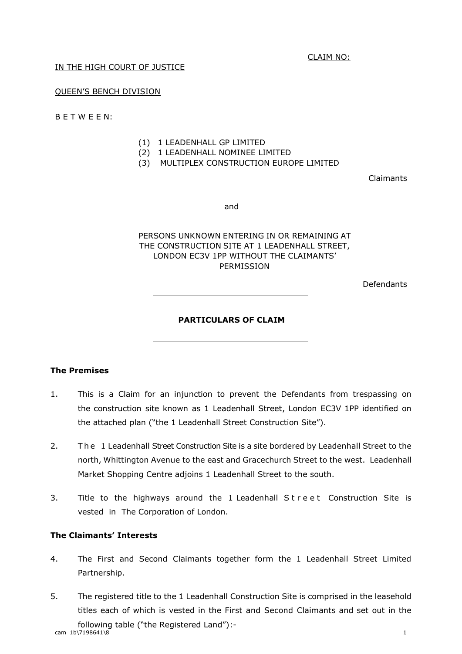CLAIM NO:

## IN THE HIGH COURT OF JUSTICE

#### QUEEN'S BENCH DIVISION

B E T W E E N:

- (1) 1 LEADENHALL GP LIMITED
- (2) 1 LEADENHALL NOMINEE LIMITED
- (3) MULTIPLEX CONSTRUCTION EUROPE LIMITED

Claimants

and

# PERSONS UNKNOWN ENTERING IN OR REMAINING AT THE CONSTRUCTION SITE AT 1 LEADENHALL STREET, LONDON EC3V 1PP WITHOUT THE CLAIMANTS' PERMISSION

Defendants

#### **PARTICULARS OF CLAIM**

#### **The Premises**

- 1. This is a Claim for an injunction to prevent the Defendants from trespassing on the construction site known as 1 Leadenhall Street, London EC3V 1PP identified on the attached plan ("the 1 Leadenhall Street Construction Site").
- 2. The 1 Leadenhall Street Construction Site is a site bordered by Leadenhall Street to the north, Whittington Avenue to the east and Gracechurch Street to the west. Leadenhall Market Shopping Centre adjoins 1 Leadenhall Street to the south.
- 3. Title to the highways around the 1 Leadenhall Street Construction Site is vested in The Corporation of London.

#### **The Claimants' Interests**

- 4. The First and Second Claimants together form the 1 Leadenhall Street Limited Partnership.
- $\text{cam}\_1\text{b}\ \text{m}\_7198641\ \text{s}$  1 5. The registered title to the 1 Leadenhall Construction Site is comprised in the leasehold titles each of which is vested in the First and Second Claimants and set out in the following table ("the Registered Land"):-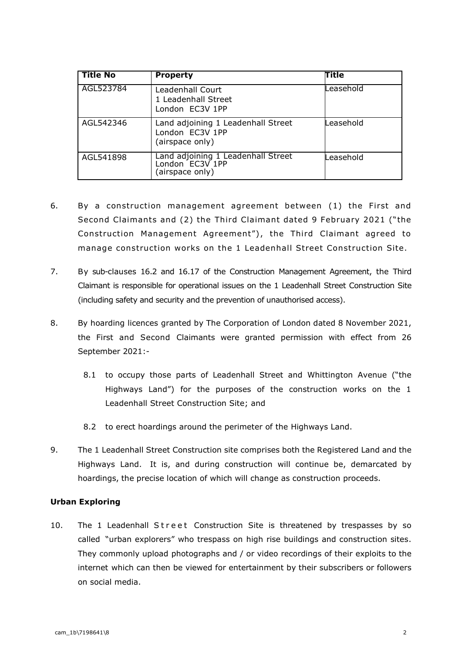| <b>Title No</b> | <b>Property</b>                                                          | <b>Title</b> |
|-----------------|--------------------------------------------------------------------------|--------------|
| AGL523784       | Leadenhall Court<br>1 Leadenhall Street<br>London EC3V 1PP               | Leasehold    |
| AGL542346       | Land adjoining 1 Leadenhall Street<br>London EC3V 1PP<br>(airspace only) | Leasehold    |
| AGL541898       | Land adjoining 1 Leadenhall Street<br>London EC3V 1PP<br>(airspace only) | Leasehold    |

- 6. By a construction management agreement between (1) the First and Second Claimants and (2) the Third Claimant dated 9 February 2021 ("the Construction Management Agreement"), the Third Claimant agreed to manage construction works on the 1 Leadenhall Street Construction Site.
- 7. By sub-clauses 16.2 and 16.17 of the Construction Management Agreement, the Third Claimant is responsible for operational issues on the 1 Leadenhall Street Construction Site (including safety and security and the prevention of unauthorised access).
- 8. By hoarding licences granted by The Corporation of London dated 8 November 2021, the First and Second Claimants were granted permission with effect from 26 September 2021:-
	- 8.1 to occupy those parts of Leadenhall Street and Whittington Avenue ("the Highways Land") for the purposes of the construction works on the 1 Leadenhall Street Construction Site; and
	- 8.2 to erect hoardings around the perimeter of the Highways Land.
- 9. The 1 Leadenhall Street Construction site comprises both the Registered Land and the Highways Land. It is, and during construction will continue be, demarcated by hoardings, the precise location of which will change as construction proceeds.

#### **Urban Exploring**

10. The 1 Leadenhall Street Construction Site is threatened by trespasses by so called "urban explorers" who trespass on high rise buildings and construction sites. They commonly upload photographs and / or video recordings of their exploits to the internet which can then be viewed for entertainment by their subscribers or followers on social media.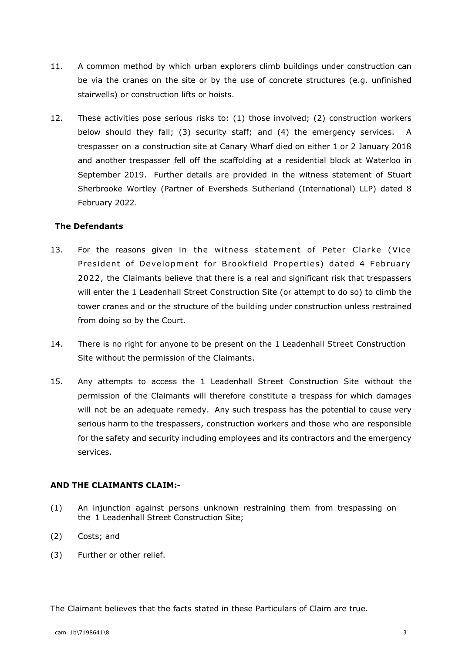- 11. A common method by which urban explorers climb buildings under construction can be via the cranes on the site or by the use of concrete structures (e.g. unfinished stairwells) or construction lifts or hoists.
- 12. These activities pose serious risks to: (1) those involved; (2) construction workers below should they fall; (3) security staff; and (4) the emergency services. A trespasser on a construction site at Canary Wharf died on either 1 or 2 January 2018 and another trespasser fell off the scaffolding at a residential block at Waterloo in September 2019. Further details are provided in the witness statement of Stuart Sherbrooke Wortley (Partner of Eversheds Sutherland (International) LLP) dated 8 February 2022.

#### **The Defendants**

- 13. For the reasons given in the witness statement of Peter Clarke (Vice President of Development for Brookfield Properties) dated 4 February 2022, the Claimants believe that there is a real and significant risk that trespassers will enter the 1 Leadenhall Street Construction Site (or attempt to do so) to climb the tower cranes and or the structure of the building under construction unless restrained from doing so by the Court.
- 14. There is no right for anyone to be present on the 1 Leadenhall Street Construction Site without the permission of the Claimants.
- 15. Any attempts to access the 1 Leadenhall Street Construction Site without the permission of the Claimants will therefore constitute a trespass for which damages will not be an adequate remedy. Any such trespass has the potential to cause very serious harm to the trespassers, construction workers and those who are responsible for the safety and security including employees and its contractors and the emergency services.

### **AND THE CLAIMANTS CLAIM:-**

- (1) An injunction against persons unknown restraining them from trespassing on the 1 Leadenhall Street Construction Site;
- (2) Costs; and
- (3) Further or other relief.

The Claimant believes that the facts stated in these Particulars of Claim are true.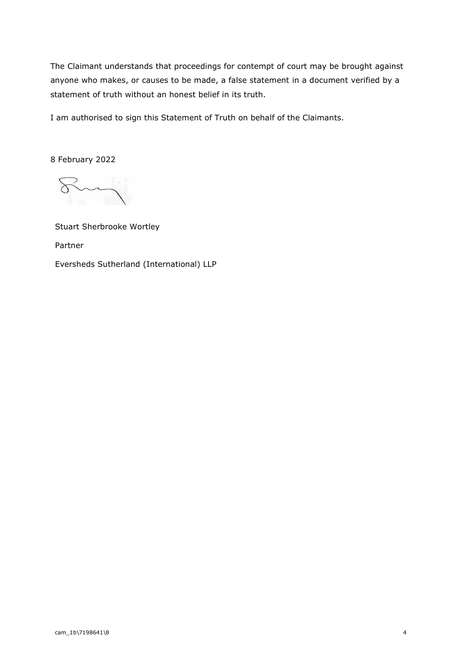The Claimant understands that proceedings for contempt of court may be brought against anyone who makes, or causes to be made, a false statement in a document verified by a statement of truth without an honest belief in its truth.

I am authorised to sign this Statement of Truth on behalf of the Claimants.

8 February 2022

Stuart Sherbrooke Wortley Partner Eversheds Sutherland (International) LLP